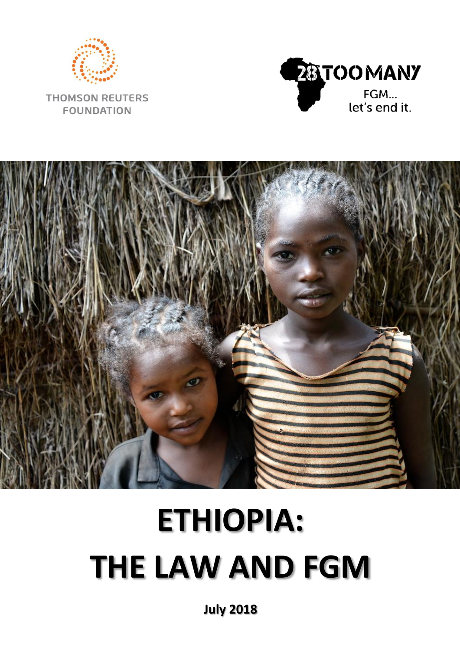

**THOMSON REUTERS FOUNDATION** 





# **ETHIOPIA: THE LAW AND FGM**

**July 2018**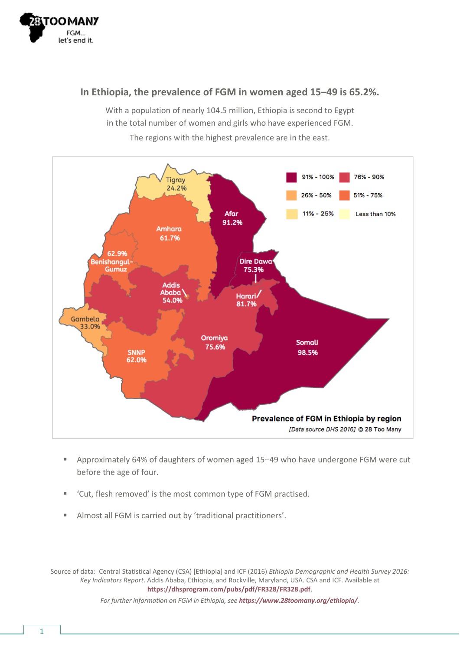

#### **In Ethiopia, the prevalence of FGM in women aged 15–49 is 65.2%.**

With a population of nearly 104.5 million, Ethiopia is second to Egypt in the total number of women and girls who have experienced FGM.



The regions with the highest prevalence are in the east.

- Approximately 64% of daughters of women aged 15-49 who have undergone FGM were cut before the age of four.
- 'Cut, flesh removed' is the most common type of FGM practised.
- Almost all FGM is carried out by 'traditional practitioners'.

Source of data: Central Statistical Agency (CSA) [Ethiopia] and ICF (2016) *Ethiopia Demographic and Health Survey 2016: Key Indicators Report*. Addis Ababa, Ethiopia, and Rockville, Maryland, USA. CSA and ICF. Available at **<https://dhsprogram.com/pubs/pdf/FR328/FR328.pdf>**.

*For further information on FGM in Ethiopia, see <https://www.28toomany.org/ethiopia/>.*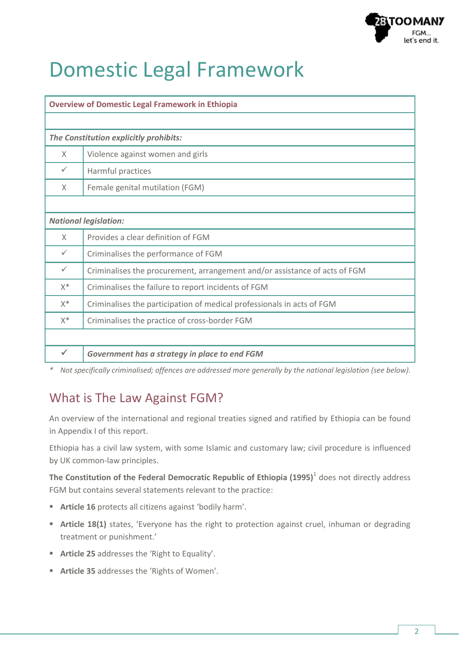

# Domestic Legal Framework

| <b>Overview of Domestic Legal Framework in Ethiopia</b> |                                                                            |  |  |  |  |
|---------------------------------------------------------|----------------------------------------------------------------------------|--|--|--|--|
|                                                         |                                                                            |  |  |  |  |
| The Constitution explicitly prohibits:                  |                                                                            |  |  |  |  |
| $\times$                                                | Violence against women and girls                                           |  |  |  |  |
| ✓                                                       | Harmful practices                                                          |  |  |  |  |
| X                                                       | Female genital mutilation (FGM)                                            |  |  |  |  |
|                                                         |                                                                            |  |  |  |  |
| <b>National legislation:</b>                            |                                                                            |  |  |  |  |
| X                                                       | Provides a clear definition of FGM                                         |  |  |  |  |
| $\checkmark$                                            | Criminalises the performance of FGM                                        |  |  |  |  |
| $\checkmark$                                            | Criminalises the procurement, arrangement and/or assistance of acts of FGM |  |  |  |  |
| $X^*$                                                   | Criminalises the failure to report incidents of FGM                        |  |  |  |  |
| $X^*$                                                   | Criminalises the participation of medical professionals in acts of FGM     |  |  |  |  |
| $X^*$                                                   | Criminalises the practice of cross-border FGM                              |  |  |  |  |
|                                                         |                                                                            |  |  |  |  |
| ✓                                                       | Government has a strategy in place to end FGM                              |  |  |  |  |

*\* Not specifically criminalised; offences are addressed more generally by the national legislation (see below).*

# What is The Law Against FGM?

An overview of the international and regional treaties signed and ratified by Ethiopia can be found in Appendix I of this report.

Ethiopia has a civil law system, with some Islamic and customary law; civil procedure is influenced by UK common-law principles.

**The Constitution of the Federal Democratic Republic of Ethiopia (1995)**<sup>1</sup> does not directly address FGM but contains several statements relevant to the practice:

- **Article 16** protects all citizens against 'bodily harm'.
- **Article 18(1)** states, 'Everyone has the right to protection against cruel, inhuman or degrading treatment or punishment.'
- **Article 25** addresses the 'Right to Equality'.
- **Article 35** addresses the 'Rights of Women'.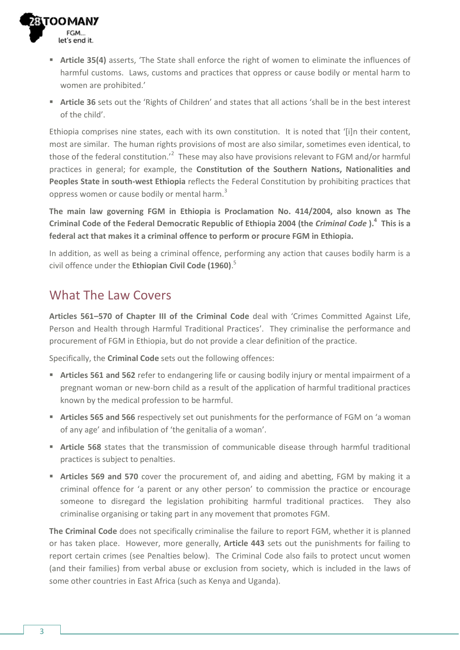

- **Article 35(4)** asserts, 'The State shall enforce the right of women to eliminate the influences of harmful customs. Laws, customs and practices that oppress or cause bodily or mental harm to women are prohibited.'
- **Article 36** sets out the 'Rights of Children' and states that all actions 'shall be in the best interest of the child'.

Ethiopia comprises nine states, each with its own constitution. It is noted that '[i]n their content, most are similar. The human rights provisions of most are also similar, sometimes even identical, to those of the federal constitution.<sup>'2</sup> These may also have provisions relevant to FGM and/or harmful practices in general; for example, the **Constitution of the Southern Nations, Nationalities and Peoples State in south-west Ethiopia** reflects the Federal Constitution by prohibiting practices that oppress women or cause bodily or mental harm.<sup>3</sup>

**The main law governing FGM in Ethiopia is Proclamation No. 414/2004, also known as The Criminal Code of the Federal Democratic Republic of Ethiopia 2004 (the** *Criminal Code* **). 4 This is a federal act that makes it a criminal offence to perform or procure FGM in Ethiopia.** 

In addition, as well as being a criminal offence, performing any action that causes bodily harm is a civil offence under the **Ethiopian Civil Code (1960)**. 5

## What The Law Covers

**Articles 561–570 of Chapter III of the Criminal Code** deal with 'Crimes Committed Against Life, Person and Health through Harmful Traditional Practices'. They criminalise the performance and procurement of FGM in Ethiopia, but do not provide a clear definition of the practice.

Specifically, the **Criminal Code** sets out the following offences:

- **Articles 561 and 562** refer to endangering life or causing bodily injury or mental impairment of a pregnant woman or new-born child as a result of the application of harmful traditional practices known by the medical profession to be harmful.
- **Articles 565 and 566** respectively set out punishments for the performance of FGM on 'a woman of any age' and infibulation of 'the genitalia of a woman'.
- **Article 568** states that the transmission of communicable disease through harmful traditional practices is subject to penalties.
- **Articles 569 and 570** cover the procurement of, and aiding and abetting, FGM by making it a criminal offence for 'a parent or any other person' to commission the practice or encourage someone to disregard the legislation prohibiting harmful traditional practices. They also criminalise organising or taking part in any movement that promotes FGM.

**The Criminal Code** does not specifically criminalise the failure to report FGM, whether it is planned or has taken place. However, more generally, **Article 443** sets out the punishments for failing to report certain crimes (see Penalties below). The Criminal Code also fails to protect uncut women (and their families) from verbal abuse or exclusion from society, which is included in the laws of some other countries in East Africa (such as Kenya and Uganda).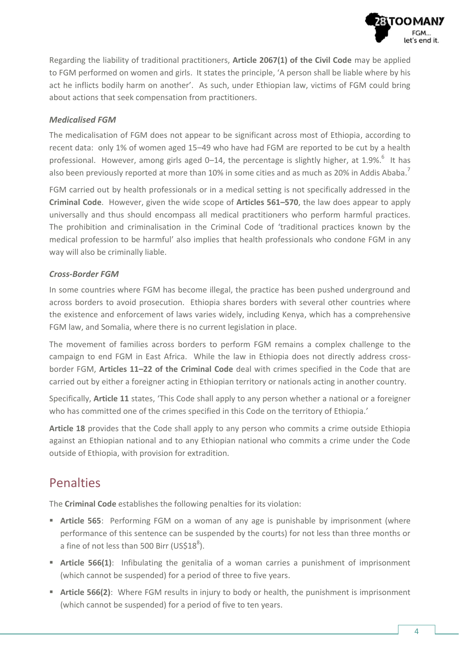

Regarding the liability of traditional practitioners, **Article 2067(1) of the Civil Code** may be applied to FGM performed on women and girls. It states the principle, 'A person shall be liable where by his act he inflicts bodily harm on another'. As such, under Ethiopian law, victims of FGM could bring about actions that seek compensation from practitioners.

#### *Medicalised FGM*

The medicalisation of FGM does not appear to be significant across most of Ethiopia, according to recent data: only 1% of women aged 15–49 who have had FGM are reported to be cut by a health professional. However, among girls aged 0–14, the percentage is slightly higher, at 1.9%.<sup>6</sup> It has also been previously reported at more than 10% in some cities and as much as 20% in Addis Ababa.<sup>7</sup>

FGM carried out by health professionals or in a medical setting is not specifically addressed in the **Criminal Code**. However, given the wide scope of **Articles 561–570**, the law does appear to apply universally and thus should encompass all medical practitioners who perform harmful practices. The prohibition and criminalisation in the Criminal Code of 'traditional practices known by the medical profession to be harmful' also implies that health professionals who condone FGM in any way will also be criminally liable.

#### *Cross-Border FGM*

In some countries where FGM has become illegal, the practice has been pushed underground and across borders to avoid prosecution. Ethiopia shares borders with several other countries where the existence and enforcement of laws varies widely, including Kenya, which has a comprehensive FGM law, and Somalia, where there is no current legislation in place.

The movement of families across borders to perform FGM remains a complex challenge to the campaign to end FGM in East Africa. While the law in Ethiopia does not directly address crossborder FGM, **Articles 11–22 of the Criminal Code** deal with crimes specified in the Code that are carried out by either a foreigner acting in Ethiopian territory or nationals acting in another country.

Specifically, **Article 11** states, 'This Code shall apply to any person whether a national or a foreigner who has committed one of the crimes specified in this Code on the territory of Ethiopia.'

**Article 18** provides that the Code shall apply to any person who commits a crime outside Ethiopia against an Ethiopian national and to any Ethiopian national who commits a crime under the Code outside of Ethiopia, with provision for extradition.

### Penalties

The **Criminal Code** establishes the following penalties for its violation:

- **Article 565**: Performing FGM on a woman of any age is punishable by imprisonment (where performance of this sentence can be suspended by the courts) for not less than three months or a fine of not less than 500 Birr (US\$18 $^{8}$ ).
- **Article 566(1):** Infibulating the genitalia of a woman carries a punishment of imprisonment (which cannot be suspended) for a period of three to five years.
- **Article 566(2)**: Where FGM results in injury to body or health, the punishment is imprisonment (which cannot be suspended) for a period of five to ten years.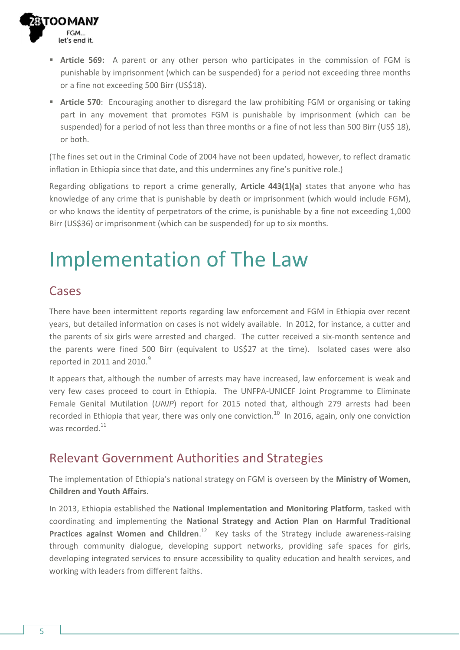

- **Article 569:** A parent or any other person who participates in the commission of FGM is punishable by imprisonment (which can be suspended) for a period not exceeding three months or a fine not exceeding 500 Birr (US\$18).
- **Article 570**: Encouraging another to disregard the law prohibiting FGM or organising or taking part in any movement that promotes FGM is punishable by imprisonment (which can be suspended) for a period of not less than three months or a fine of not less than 500 Birr (US\$ 18), or both.

(The fines set out in the Criminal Code of 2004 have not been updated, however, to reflect dramatic inflation in Ethiopia since that date, and this undermines any fine's punitive role.)

Regarding obligations to report a crime generally, **Article 443(1)(a)** states that anyone who has knowledge of any crime that is punishable by death or imprisonment (which would include FGM), or who knows the identity of perpetrators of the crime, is punishable by a fine not exceeding 1,000 Birr (US\$36) or imprisonment (which can be suspended) for up to six months.

# Implementation of The Law

### Cases

There have been intermittent reports regarding law enforcement and FGM in Ethiopia over recent years, but detailed information on cases is not widely available. In 2012, for instance, a cutter and the parents of six girls were arrested and charged. The cutter received a six-month sentence and the parents were fined 500 Birr (equivalent to US\$27 at the time). Isolated cases were also reported in 2011 and 2010. $9$ 

It appears that, although the number of arrests may have increased, law enforcement is weak and very few cases proceed to court in Ethiopia. The UNFPA-UNICEF Joint Programme to Eliminate Female Genital Mutilation (*UNJP*) report for 2015 noted that, although 279 arrests had been recorded in Ethiopia that year, there was only one conviction.<sup>10</sup> In 2016, again, only one conviction was recorded<sup>11</sup>

### Relevant Government Authorities and Strategies

The implementation of Ethiopia's national strategy on FGM is overseen by the **Ministry of Women, Children and Youth Affairs**.

In 2013, Ethiopia established the **National Implementation and Monitoring Platform**, tasked with coordinating and implementing the **National Strategy and Action Plan on Harmful Traditional**  Practices against Women and Children.<sup>12</sup> Key tasks of the Strategy include awareness-raising through community dialogue, developing support networks, providing safe spaces for girls, developing integrated services to ensure accessibility to quality education and health services, and working with leaders from different faiths.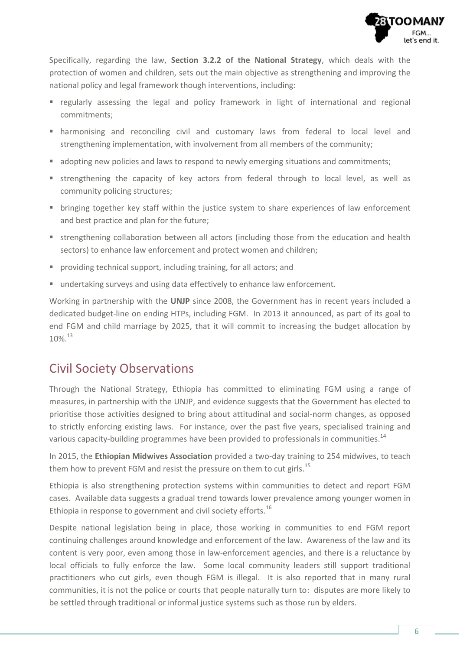

Specifically, regarding the law, **Section 3.2.2 of the National Strategy**, which deals with the protection of women and children, sets out the main objective as strengthening and improving the national policy and legal framework though interventions, including:

- **•** regularly assessing the legal and policy framework in light of international and regional commitments;
- harmonising and reconciling civil and customary laws from federal to local level and strengthening implementation, with involvement from all members of the community;
- **adopting new policies and laws to respond to newly emerging situations and commitments;**
- strengthening the capacity of key actors from federal through to local level, as well as community policing structures;
- **•** bringing together key staff within the justice system to share experiences of law enforcement and best practice and plan for the future;
- strengthening collaboration between all actors (including those from the education and health sectors) to enhance law enforcement and protect women and children;
- **P** providing technical support, including training, for all actors; and
- undertaking surveys and using data effectively to enhance law enforcement.

Working in partnership with the **UNJP** since 2008, the Government has in recent years included a dedicated budget-line on ending HTPs, including FGM. In 2013 it announced, as part of its goal to end FGM and child marriage by 2025, that it will commit to increasing the budget allocation by 10%. 13

### Civil Society Observations

Through the National Strategy, Ethiopia has committed to eliminating FGM using a range of measures, in partnership with the UNJP, and evidence suggests that the Government has elected to prioritise those activities designed to bring about attitudinal and social-norm changes, as opposed to strictly enforcing existing laws. For instance, over the past five years, specialised training and various capacity-building programmes have been provided to professionals in communities.<sup>14</sup>

In 2015, the **Ethiopian Midwives Association** provided a two-day training to 254 midwives, to teach them how to prevent FGM and resist the pressure on them to cut girls.<sup>15</sup>

Ethiopia is also strengthening protection systems within communities to detect and report FGM cases. Available data suggests a gradual trend towards lower prevalence among younger women in Ethiopia in response to government and civil society efforts.<sup>16</sup>

Despite national legislation being in place, those working in communities to end FGM report continuing challenges around knowledge and enforcement of the law. Awareness of the law and its content is very poor, even among those in law-enforcement agencies, and there is a reluctance by local officials to fully enforce the law. Some local community leaders still support traditional practitioners who cut girls, even though FGM is illegal. It is also reported that in many rural communities, it is not the police or courts that people naturally turn to: disputes are more likely to be settled through traditional or informal justice systems such as those run by elders.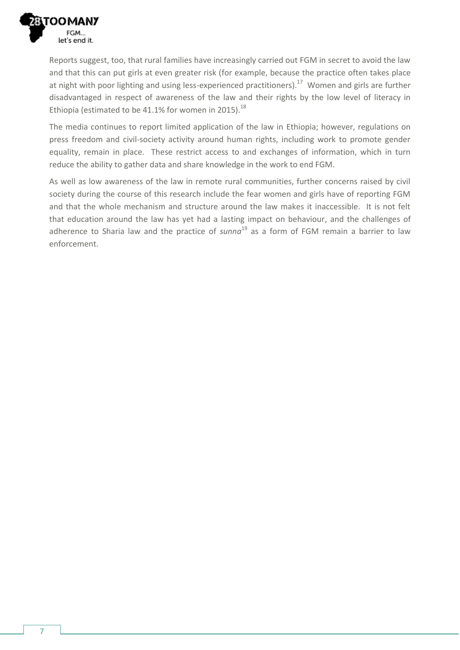

Reports suggest, too, that rural families have increasingly carried out FGM in secret to avoid the law and that this can put girls at even greater risk (for example, because the practice often takes place at night with poor lighting and using less-experienced practitioners).<sup>17</sup> Women and girls are further disadvantaged in respect of awareness of the law and their rights by the low level of literacy in Ethiopia (estimated to be 41.1% for women in 2015). $^{18}$ 

The media continues to report limited application of the law in Ethiopia; however, regulations on press freedom and civil-society activity around human rights, including work to promote gender equality, remain in place. These restrict access to and exchanges of information, which in turn reduce the ability to gather data and share knowledge in the work to end FGM.

As well as low awareness of the law in remote rural communities, further concerns raised by civil society during the course of this research include the fear women and girls have of reporting FGM and that the whole mechanism and structure around the law makes it inaccessible. It is not felt that education around the law has yet had a lasting impact on behaviour, and the challenges of adherence to Sharia law and the practice of *sunna* <sup>19</sup> as a form of FGM remain a barrier to law enforcement.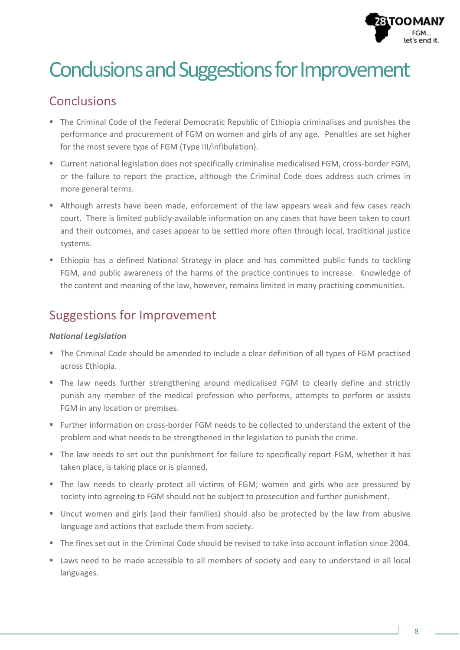

# Conclusions and Suggestions for Improvement

# Conclusions

- The Criminal Code of the Federal Democratic Republic of Ethiopia criminalises and punishes the performance and procurement of FGM on women and girls of any age. Penalties are set higher for the most severe type of FGM (Type III/infibulation).
- Current national legislation does not specifically criminalise medicalised FGM, cross-border FGM, or the failure to report the practice, although the Criminal Code does address such crimes in more general terms.
- Although arrests have been made, enforcement of the law appears weak and few cases reach court. There is limited publicly-available information on any cases that have been taken to court and their outcomes, and cases appear to be settled more often through local, traditional justice systems.
- **Ethiopia has a defined National Strategy in place and has committed public funds to tackling** FGM, and public awareness of the harms of the practice continues to increase. Knowledge of the content and meaning of the law, however, remains limited in many practising communities.

# Suggestions for Improvement

#### *National Legislation*

- The Criminal Code should be amended to include a clear definition of all types of FGM practised across Ethiopia.
- The law needs further strengthening around medicalised FGM to clearly define and strictly punish any member of the medical profession who performs, attempts to perform or assists FGM in any location or premises.
- Further information on cross-border FGM needs to be collected to understand the extent of the problem and what needs to be strengthened in the legislation to punish the crime.
- The law needs to set out the punishment for failure to specifically report FGM, whether it has taken place, is taking place or is planned.
- The law needs to clearly protect all victims of FGM; women and girls who are pressured by society into agreeing to FGM should not be subject to prosecution and further punishment.
- Uncut women and girls (and their families) should also be protected by the law from abusive language and actions that exclude them from society.
- The fines set out in the Criminal Code should be revised to take into account inflation since 2004.
- Laws need to be made accessible to all members of society and easy to understand in all local languages.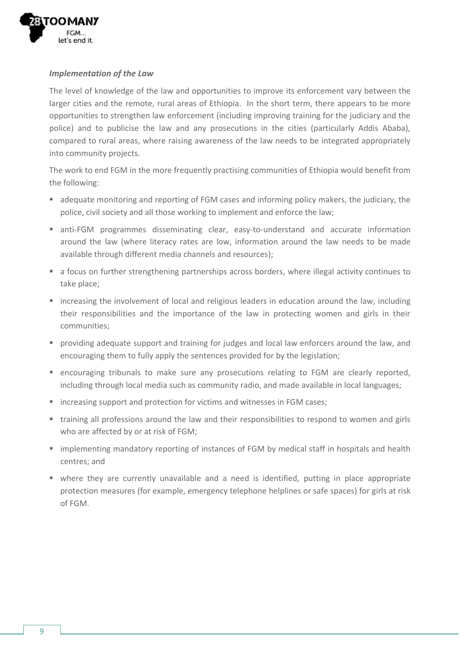

#### *Implementation of the Law*

The level of knowledge of the law and opportunities to improve its enforcement vary between the larger cities and the remote, rural areas of Ethiopia. In the short term, there appears to be more opportunities to strengthen law enforcement (including improving training for the judiciary and the police) and to publicise the law and any prosecutions in the cities (particularly Addis Ababa), compared to rural areas, where raising awareness of the law needs to be integrated appropriately into community projects.

The work to end FGM in the more frequently practising communities of Ethiopia would benefit from the following:

- adequate monitoring and reporting of FGM cases and informing policy makers, the judiciary, the police, civil society and all those working to implement and enforce the law;
- anti-FGM programmes disseminating clear, easy-to-understand and accurate information around the law (where literacy rates are low, information around the law needs to be made available through different media channels and resources);
- a focus on further strengthening partnerships across borders, where illegal activity continues to take place;
- increasing the involvement of local and religious leaders in education around the law, including their responsibilities and the importance of the law in protecting women and girls in their communities;
- providing adequate support and training for judges and local law enforcers around the law, and encouraging them to fully apply the sentences provided for by the legislation;
- encouraging tribunals to make sure any prosecutions relating to FGM are clearly reported, including through local media such as community radio, and made available in local languages;
- increasing support and protection for victims and witnesses in FGM cases;
- training all professions around the law and their responsibilities to respond to women and girls who are affected by or at risk of FGM;
- **F** implementing mandatory reporting of instances of FGM by medical staff in hospitals and health centres; and
- where they are currently unavailable and a need is identified, putting in place appropriate protection measures (for example, emergency telephone helplines or safe spaces) for girls at risk of FGM.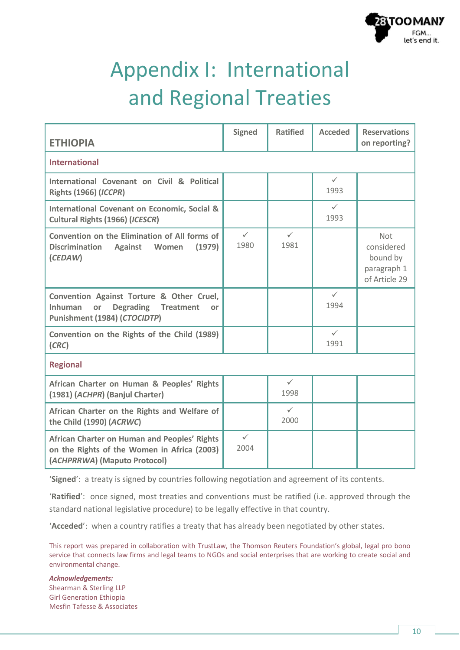

# Appendix I: International and Regional Treaties

| <b>ETHIOPIA</b>                                                                                                                       | <b>Signed</b>        | <b>Ratified</b>      | <b>Acceded</b>       | <b>Reservations</b><br>on reporting?                          |  |  |
|---------------------------------------------------------------------------------------------------------------------------------------|----------------------|----------------------|----------------------|---------------------------------------------------------------|--|--|
| <b>International</b>                                                                                                                  |                      |                      |                      |                                                               |  |  |
| International Covenant on Civil & Political<br><b>Rights (1966) (ICCPR)</b>                                                           |                      |                      | $\checkmark$<br>1993 |                                                               |  |  |
| <b>International Covenant on Economic, Social &amp;</b><br>Cultural Rights (1966) (ICESCR)                                            |                      |                      | $\checkmark$<br>1993 |                                                               |  |  |
| Convention on the Elimination of All forms of<br><b>Discrimination</b><br>(1979)<br><b>Against</b><br>Women<br>(CEDAW)                | $\checkmark$<br>1980 | $\checkmark$<br>1981 |                      | Not<br>considered<br>bound by<br>paragraph 1<br>of Article 29 |  |  |
| Convention Against Torture & Other Cruel,<br><b>Inhuman</b><br><b>Degrading Treatment</b><br>or<br>or<br>Punishment (1984) (CTOCIDTP) |                      |                      | $\checkmark$<br>1994 |                                                               |  |  |
| Convention on the Rights of the Child (1989)<br>(CRC)                                                                                 |                      |                      | $\checkmark$<br>1991 |                                                               |  |  |
| <b>Regional</b>                                                                                                                       |                      |                      |                      |                                                               |  |  |
| African Charter on Human & Peoples' Rights<br>(1981) (ACHPR) (Banjul Charter)                                                         |                      | $\checkmark$<br>1998 |                      |                                                               |  |  |
| African Charter on the Rights and Welfare of<br>the Child (1990) (ACRWC)                                                              |                      | $\checkmark$<br>2000 |                      |                                                               |  |  |
| African Charter on Human and Peoples' Rights<br>on the Rights of the Women in Africa (2003)<br>(ACHPRRWA) (Maputo Protocol)           | $\checkmark$<br>2004 |                      |                      |                                                               |  |  |

'**Signed**': a treaty is signed by countries following negotiation and agreement of its contents.

'**Ratified**': once signed, most treaties and conventions must be ratified (i.e. approved through the standard national legislative procedure) to be legally effective in that country.

'**Acceded**': when a country ratifies a treaty that has already been negotiated by other states.

This report was prepared in collaboration with TrustLaw, the Thomson Reuters Foundation's global, legal pro bono service that connects law firms and legal teams to NGOs and social enterprises that are working to create social and environmental change.

#### *Acknowledgements:* Shearman & Sterling LLP Girl Generation Ethiopia Mesfin Tafesse & Associates